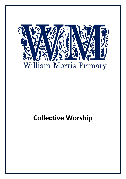

# **Collective Worship**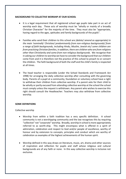## **BACKGROUND TO COLLECTIVE WORSHIP AT OUR SCHOOL**

- It is a legal requirement that all registered school age pupils take part in an act of worship each day. These acts of worship must be "wholly or mainly of a broadly Christian Character" for the majority of the time. They must also be "appropriate, having regard to the ages, aptitudes and family backgrounds of the pupils".
- Families who send their children to this school are *(delete/ amend as appropriate) in the main 'nominally' Christian/ predominantly from non-religious backgrounds/ from a range of faith backgrounds, including Hindu, Muslim, Jewish etc/ some children are from practising Christian families, in addition, there are children who are from religions other than Christianity and some from non-religious backgrounds.* We recognise that in asking our children to worship we have to consider the background that our children come from and it is therefore not the practice of this school to preach to or convert the children. The faith background of both the staff and the child's family is respected at all times.
- The head teacher is responsible (under the School Standards and Framework Act 1998) for arranging the daily collective worship after consulting with the governing body. Parents of a pupil at a community, foundation or voluntary school have a right to withdraw their children from collective worship. If a parent asks for their child to be wholly or partly excused from attending collective worship at the school the school must comply unless the request is withdrawn. Any parent who wishes to exercise this right should consult the Headteacher. Teachers may also withdraw from collective worship.

## **SOME DEFINITIONS**

#### Collective worship

- Worship from within a faith tradition has a very specific definition. A school community is not a worshipping community and the law recognises this by requiring "collective" not "corporate" worship. Broadly, worship in school is more appropriately referred to as worth-ship. This might encompass what is offered in a spirit of admiration, celebration and respect to God and/or people of excellence, worthy of honour and by extension to concepts, principles and conduct which are worthy of celebration as examples of the highest achievements of the human spirit.
- Worship defined in this way draws on literature, music, art, drama and other sources of inspiration and reflection for pupils and staff whose religious and cultural backgrounds are of any faith or none. In this way collective worship is inclusive not exclusive.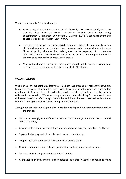Worship of a broadly Christian character

- The majority of acts of worship must be of a "broadly Christian character", and those that are must reflect the broad traditions of Christian belief without being denominational. Paragraphs 60-63 of the DFE Circular 1/94 asks schools to define this as according a special status to Jesus Christ.
- If we are to be inclusive in our worship in this school, taking the family backgrounds of the children into consideration, then, when according a special status to Jesus Christ, all pupils, whatever their beliefs, need to be respected. It is therefore appropriate in this school to tell stories of the life of Jesus, but inappropriate for all children to be required to address Him in prayer.
- Many of the characteristics of Christianity are shared by all the faiths. It is important to concentrate on these as well as those specific to Christianity.

# *VALUES AND AIMS*

We believe at this school that collective worship both supports and strengthens what we aim to do in every aspect of school life. Our caring ethos, and the value which we place on the development of the whole child; spiritually, morally, socially, culturally and intellectually is reflected in our worship. We value this special time in the school day for the space it gives children to develop a reflective approach to life and the ability to express their reflections in traditionally religious ways or any other appropriate manner.

Through our collective worship we aim to provide a caring and supporting environment for children to:

- Become increasingly aware of themselves as individuals and groups within the school and wider community
- Grow in understanding of the feelings of other people in every day situations and beliefs
- Explore the language which people use to express their feelings
- Deepen their sense of wonder about the world around them
- Grow in confidence when making a presentation to the group or whole school.
- Respond freely to religious and/or spiritual stimulus.
- Acknowledge diversity and affirm each person's life stance, whether it be religious or not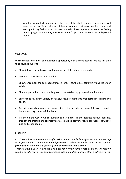Worship both reflects and nurtures the ethos of the whole school. It encompasses all aspects of school life and all areas of the curriculum so that every member of staff and every pupil may feel involved. In particular school worship here develops the feeling of belonging to a community which is essential for personal development and spiritual growth.

# *OBJECTIVES*

We see school worship as an educational opportunity with clear objectives. We use this time to encourage pupils to:

- Show interest in, and a concern for, members of the school community
- Celebrate special occasions together
- Show concern for the daily happenings in school life, the local community and the wider world
- Share appreciation of worthwhile projects undertaken by groups within the school
- Explore and review the variety of values, attitudes, standards, manifested in religions and society
- Reflect upon dimensions of human life the wonderful, beautiful, joyful, heroic, humorous, tragic, sorrowful, solemn….;
- Reflect on the way in which humankind has expressed the deepest spiritual feelings, through the creative and expressive arts, scientific discovery, religious practice, service to God and other people.

## PLANNING

*In this school we combine our acts of worship with assembly, helping to ensure that worship takes place within a broad educational framework. When the whole school meets together (Monday and Friday) this is generally between 9.00 a.m. and 9.30a.m.*

*Teachers have a rota to lead the whole school worship, with a rota of other staff leading worship on other days. This group comes up with many ideas and gets other children involved.*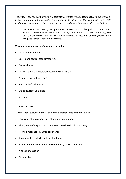*The school year has been divided into fortnightly themes which encompass religious festivals, known national or international events, and aspects taken from the school calendar. Staff leading worship can then plan around the themes and a development of ideas can build up.*

We believe that creating the right atmosphere is crucial to the quality of the worship. Therefore, the time is not over-dominated by school administration or moralising. We plan the time so that there is a variety in content and methods, allowing opportunity for quiet personal reflection/worship.

# **We choose from a range of methods, including:**

- Pupil's contributions
- Sacred and secular stories/readings
- Dance/drama
- Prayer/reflection/meditation/songs/hymns/music
- Artefacts/natural materials
- Visual aids/focal points
- Dialogue/creative silence
- Visitors

## SUCCESS CRITERIA

At this school evaluate our acts of worship against some of the following:

- Involvement, enjoyment, attention, reaction of pupils
- The growth of respect and tolerance within the school community
- Positive response to shared experience
- An atmosphere which matches the theme
- A contribution to individual and community sense of well being
- A sense of occasion
- Good order